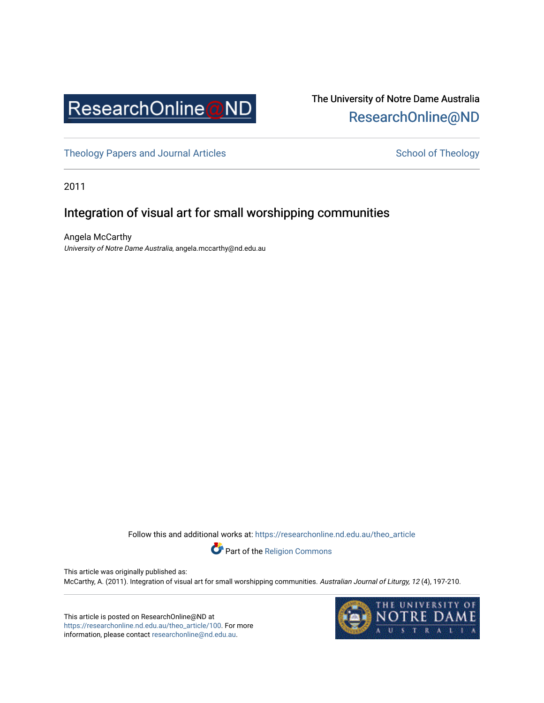

# The University of Notre Dame Australia [ResearchOnline@ND](https://researchonline.nd.edu.au/)

[Theology Papers and Journal Articles](https://researchonline.nd.edu.au/theo_article) and [School of Theology](https://researchonline.nd.edu.au/theo) School of Theology

2011

# Integration of visual art for small worshipping communities

Angela McCarthy University of Notre Dame Australia, angela.mccarthy@nd.edu.au

Follow this and additional works at: [https://researchonline.nd.edu.au/theo\\_article](https://researchonline.nd.edu.au/theo_article?utm_source=researchonline.nd.edu.au%2Ftheo_article%2F100&utm_medium=PDF&utm_campaign=PDFCoverPages) 



This article was originally published as: McCarthy, A. (2011). Integration of visual art for small worshipping communities. Australian Journal of Liturgy, 12 (4), 197-210.

This article is posted on ResearchOnline@ND at [https://researchonline.nd.edu.au/theo\\_article/100](https://researchonline.nd.edu.au/theo_article/100). For more information, please contact [researchonline@nd.edu.au.](mailto:researchonline@nd.edu.au)

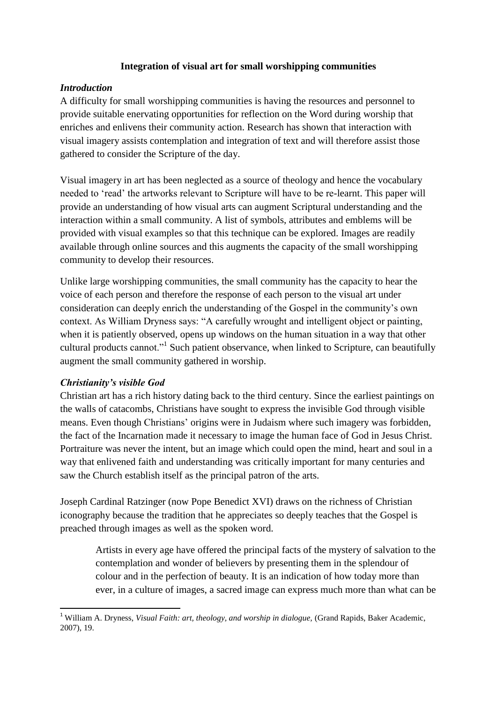#### **Integration of visual art for small worshipping communities**

#### *Introduction*

A difficulty for small worshipping communities is having the resources and personnel to provide suitable enervating opportunities for reflection on the Word during worship that enriches and enlivens their community action. Research has shown that interaction with visual imagery assists contemplation and integration of text and will therefore assist those gathered to consider the Scripture of the day.

Visual imagery in art has been neglected as a source of theology and hence the vocabulary needed to "read" the artworks relevant to Scripture will have to be re-learnt. This paper will provide an understanding of how visual arts can augment Scriptural understanding and the interaction within a small community. A list of symbols, attributes and emblems will be provided with visual examples so that this technique can be explored. Images are readily available through online sources and this augments the capacity of the small worshipping community to develop their resources.

Unlike large worshipping communities, the small community has the capacity to hear the voice of each person and therefore the response of each person to the visual art under consideration can deeply enrich the understanding of the Gospel in the community"s own context. As William Dryness says: "A carefully wrought and intelligent object or painting, when it is patiently observed, opens up windows on the human situation in a way that other cultural products cannot."<sup>1</sup> Such patient observance, when linked to Scripture, can beautifully augment the small community gathered in worship.

#### *Christianity's visible God*

**.** 

Christian art has a rich history dating back to the third century. Since the earliest paintings on the walls of catacombs, Christians have sought to express the invisible God through visible means. Even though Christians" origins were in Judaism where such imagery was forbidden, the fact of the Incarnation made it necessary to image the human face of God in Jesus Christ. Portraiture was never the intent, but an image which could open the mind, heart and soul in a way that enlivened faith and understanding was critically important for many centuries and saw the Church establish itself as the principal patron of the arts.

Joseph Cardinal Ratzinger (now Pope Benedict XVI) draws on the richness of Christian iconography because the tradition that he appreciates so deeply teaches that the Gospel is preached through images as well as the spoken word.

Artists in every age have offered the principal facts of the mystery of salvation to the contemplation and wonder of believers by presenting them in the splendour of colour and in the perfection of beauty. It is an indication of how today more than ever, in a culture of images, a sacred image can express much more than what can be

<sup>1</sup> William A. Dryness, *Visual Faith: art, theology, and worship in dialogue,* (Grand Rapids, Baker Academic, 2007), 19.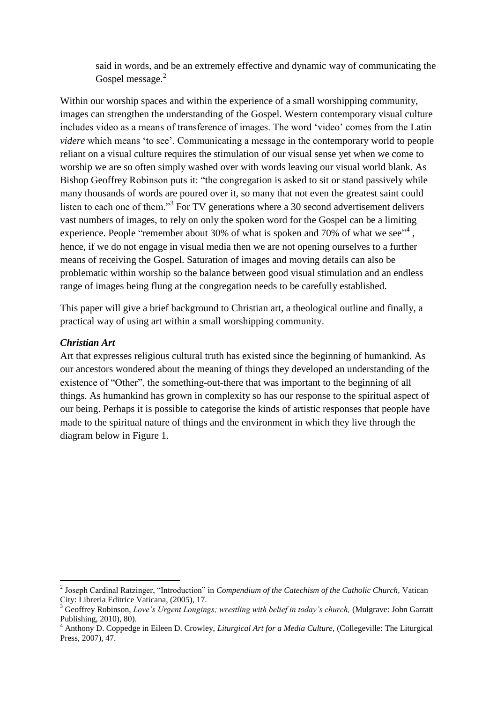said in words, and be an extremely effective and dynamic way of communicating the Gospel message.<sup>2</sup>

Within our worship spaces and within the experience of a small worshipping community, images can strengthen the understanding of the Gospel. Western contemporary visual culture includes video as a means of transference of images. The word "video" comes from the Latin *videre* which means 'to see'. Communicating a message in the contemporary world to people reliant on a visual culture requires the stimulation of our visual sense yet when we come to worship we are so often simply washed over with words leaving our visual world blank. As Bishop Geoffrey Robinson puts it: "the congregation is asked to sit or stand passively while many thousands of words are poured over it, so many that not even the greatest saint could listen to each one of them."<sup>3</sup> For TV generations where a 30 second advertisement delivers vast numbers of images, to rely on only the spoken word for the Gospel can be a limiting experience. People "remember about 30% of what is spoken and 70% of what we see"<sup>4</sup>, hence, if we do not engage in visual media then we are not opening ourselves to a further means of receiving the Gospel. Saturation of images and moving details can also be problematic within worship so the balance between good visual stimulation and an endless range of images being flung at the congregation needs to be carefully established.

This paper will give a brief background to Christian art, a theological outline and finally, a practical way of using art within a small worshipping community.

#### *Christian Art*

Art that expresses religious cultural truth has existed since the beginning of humankind. As our ancestors wondered about the meaning of things they developed an understanding of the existence of "Other", the something-out-there that was important to the beginning of all things. As humankind has grown in complexity so has our response to the spiritual aspect of our being. Perhaps it is possible to categorise the kinds of artistic responses that people have made to the spiritual nature of things and the environment in which they live through the diagram below in Figure 1.

 2 Joseph Cardinal Ratzinger, "Introduction" in *Compendium of the Catechism of the Catholic Church,* Vatican City: Libreria Editrice Vaticana, (2005), 17.

<sup>3</sup> Geoffrey Robinson, *Love's Urgent Longings; wrestling with belief in today's church,* (Mulgrave: John Garratt Publishing, 2010), 80).

<sup>4</sup> Anthony D. Coppedge in Eileen D. Crowley, *Liturgical Art for a Media Culture,* (Collegeville: The Liturgical Press, 2007), 47.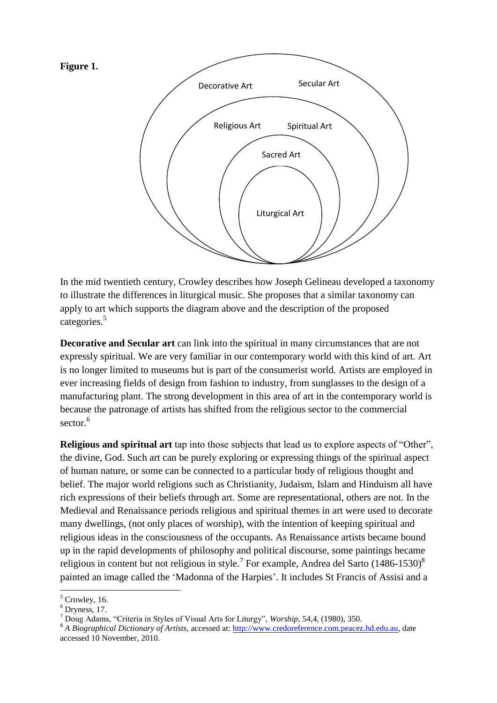

In the mid twentieth century, Crowley describes how Joseph Gelineau developed a taxonomy to illustrate the differences in liturgical music. She proposes that a similar taxonomy can apply to art which supports the diagram above and the description of the proposed categories. 5

**Decorative and Secular art** can link into the spiritual in many circumstances that are not expressly spiritual. We are very familiar in our contemporary world with this kind of art. Art is no longer limited to museums but is part of the consumerist world. Artists are employed in ever increasing fields of design from fashion to industry, from sunglasses to the design of a manufacturing plant. The strong development in this area of art in the contemporary world is because the patronage of artists has shifted from the religious sector to the commercial sector.<sup>6</sup>

**Religious and spiritual art** tap into those subjects that lead us to explore aspects of "Other", the divine, God. Such art can be purely exploring or expressing things of the spiritual aspect of human nature, or some can be connected to a particular body of religious thought and belief. The major world religions such as Christianity, Judaism, Islam and Hinduism all have rich expressions of their beliefs through art. Some are representational, others are not. In the Medieval and Renaissance periods religious and spiritual themes in art were used to decorate many dwellings, (not only places of worship), with the intention of keeping spiritual and religious ideas in the consciousness of the occupants. As Renaissance artists became bound up in the rapid developments of philosophy and political discourse, some paintings became religious in content but not religious in style.<sup>7</sup> For example, Andrea del Sarto (1486-1530)<sup>8</sup> painted an image called the 'Madonna of the Harpies'. It includes St Francis of Assisi and a

 $<sup>5</sup>$  Crowley, 16.</sup>

 $6$  Dryness, 17.

<sup>7</sup> Doug Adams, "Criteria in Styles of Visual Arts for Liturgy", *Worship,* 54,4, (1980), 350.

<sup>8</sup> *A Biographical Dictionary of Artists,* accessed at: [http://www.credoreference.com.peacez.hd.edu.au,](http://www.credoreference.com.peacez.hd.edu.au/) date accessed 10 November, 2010.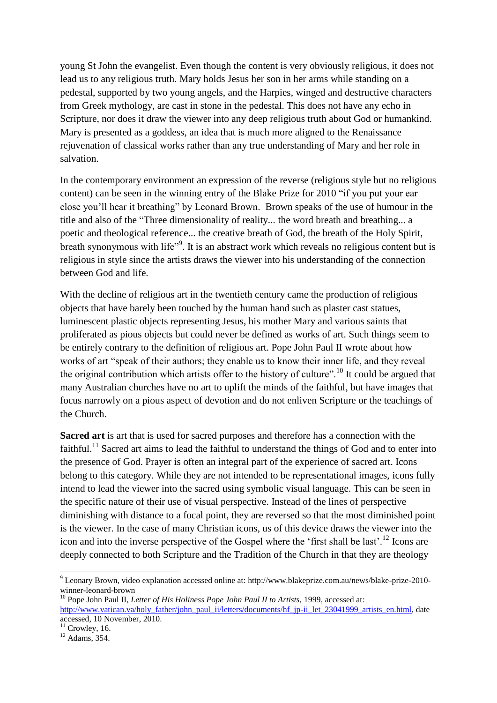young St John the evangelist. Even though the content is very obviously religious, it does not lead us to any religious truth. Mary holds Jesus her son in her arms while standing on a pedestal, supported by two young angels, and the Harpies, winged and destructive characters from Greek mythology, are cast in stone in the pedestal. This does not have any echo in Scripture, nor does it draw the viewer into any deep religious truth about God or humankind. Mary is presented as a goddess, an idea that is much more aligned to the Renaissance rejuvenation of classical works rather than any true understanding of Mary and her role in salvation.

In the contemporary environment an expression of the reverse (religious style but no religious content) can be seen in the winning entry of the Blake Prize for 2010 "if you put your ear close you"ll hear it breathing" by Leonard Brown. Brown speaks of the use of humour in the title and also of the "Three dimensionality of reality... the word breath and breathing... a poetic and theological reference... the creative breath of God, the breath of the Holy Spirit, breath synonymous with life<sup>"9</sup>. It is an abstract work which reveals no religious content but is religious in style since the artists draws the viewer into his understanding of the connection between God and life.

With the decline of religious art in the twentieth century came the production of religious objects that have barely been touched by the human hand such as plaster cast statues, luminescent plastic objects representing Jesus, his mother Mary and various saints that proliferated as pious objects but could never be defined as works of art. Such things seem to be entirely contrary to the definition of religious art. Pope John Paul II wrote about how works of art "speak of their authors; they enable us to know their inner life, and they reveal the original contribution which artists offer to the history of culture".<sup>10</sup> It could be argued that many Australian churches have no art to uplift the minds of the faithful, but have images that focus narrowly on a pious aspect of devotion and do not enliven Scripture or the teachings of the Church.

**Sacred art** is art that is used for sacred purposes and therefore has a connection with the faithful.<sup>11</sup> Sacred art aims to lead the faithful to understand the things of God and to enter into the presence of God. Prayer is often an integral part of the experience of sacred art. Icons belong to this category. While they are not intended to be representational images, icons fully intend to lead the viewer into the sacred using symbolic visual language. This can be seen in the specific nature of their use of visual perspective. Instead of the lines of perspective diminishing with distance to a focal point, they are reversed so that the most diminished point is the viewer. In the case of many Christian icons, us of this device draws the viewer into the icon and into the inverse perspective of the Gospel where the 'first shall be last'.<sup>12</sup> Icons are deeply connected to both Scripture and the Tradition of the Church in that they are theology

<sup>9</sup> Leonary Brown, video explanation accessed online at: http://www.blakeprize.com.au/news/blake-prize-2010 winner-leonard-brown

<sup>&</sup>lt;sup>10</sup> Pope John Paul II, *Letter of His Holiness Pope John Paul II to Artists*, 1999, accessed at: [http://www.vatican.va/holy\\_father/john\\_paul\\_ii/letters/documents/hf\\_jp-ii\\_let\\_23041999\\_artists\\_en.html,](http://www.vatican.va/holy_father/john_paul_ii/letters/documents/hf_jp-ii_let_23041999_artists_en.html) date accessed, 10 November, 2010.

 $11$  Crowley, 16.

 $12$  Adams, 354.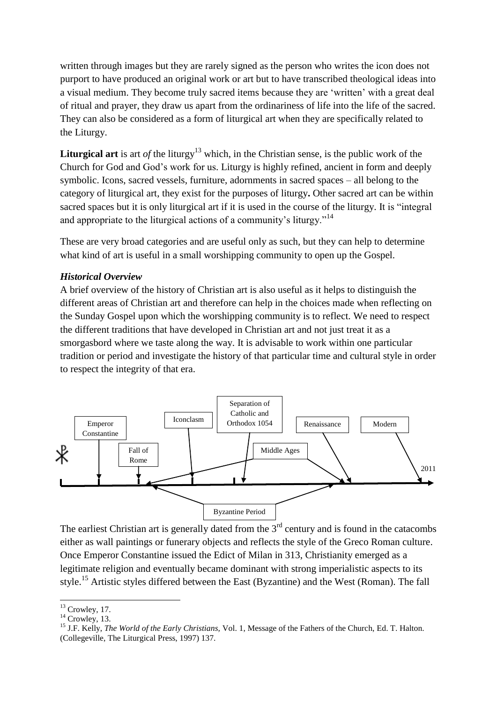written through images but they are rarely signed as the person who writes the icon does not purport to have produced an original work or art but to have transcribed theological ideas into a visual medium. They become truly sacred items because they are "written" with a great deal of ritual and prayer, they draw us apart from the ordinariness of life into the life of the sacred. They can also be considered as a form of liturgical art when they are specifically related to the Liturgy.

**Liturgical art** is art *of* the liturgy<sup>13</sup> which, in the Christian sense, is the public work of the Church for God and God"s work for us. Liturgy is highly refined, ancient in form and deeply symbolic. Icons, sacred vessels, furniture, adornments in sacred spaces – all belong to the category of liturgical art, they exist for the purposes of liturgy**.** Other sacred art can be within sacred spaces but it is only liturgical art if it is used in the course of the liturgy. It is "integral and appropriate to the liturgical actions of a community's liturgy."<sup>14</sup>

These are very broad categories and are useful only as such, but they can help to determine what kind of art is useful in a small worshipping community to open up the Gospel.

#### *Historical Overview*

A brief overview of the history of Christian art is also useful as it helps to distinguish the different areas of Christian art and therefore can help in the choices made when reflecting on the Sunday Gospel upon which the worshipping community is to reflect. We need to respect the different traditions that have developed in Christian art and not just treat it as a smorgasbord where we taste along the way. It is advisable to work within one particular tradition or period and investigate the history of that particular time and cultural style in order to respect the integrity of that era.



The earliest Christian art is generally dated from the  $3<sup>rd</sup>$  century and is found in the catacombs either as wall paintings or funerary objects and reflects the style of the Greco Roman culture. Once Emperor Constantine issued the Edict of Milan in 313, Christianity emerged as a legitimate religion and eventually became dominant with strong imperialistic aspects to its style.<sup>15</sup> Artistic styles differed between the East (Byzantine) and the West (Roman). The fall

 $13$  Crowley, 17.

 $14$  Crowley, 13.

<sup>15</sup> J.F. Kelly, *The World of the Early Christians,* Vol. 1, Message of the Fathers of the Church, Ed. T. Halton. (Collegeville, The Liturgical Press, 1997) 137.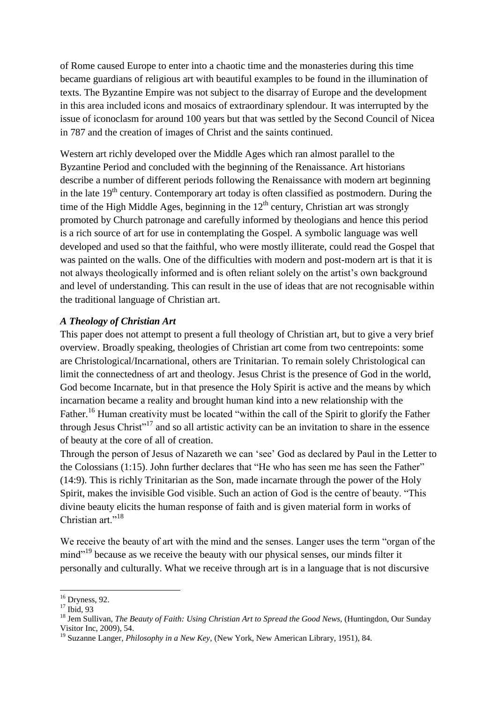of Rome caused Europe to enter into a chaotic time and the monasteries during this time became guardians of religious art with beautiful examples to be found in the illumination of texts. The Byzantine Empire was not subject to the disarray of Europe and the development in this area included icons and mosaics of extraordinary splendour. It was interrupted by the issue of iconoclasm for around 100 years but that was settled by the Second Council of Nicea in 787 and the creation of images of Christ and the saints continued.

Western art richly developed over the Middle Ages which ran almost parallel to the Byzantine Period and concluded with the beginning of the Renaissance. Art historians describe a number of different periods following the Renaissance with modern art beginning in the late  $19<sup>th</sup>$  century. Contemporary art today is often classified as postmodern. During the time of the High Middle Ages, beginning in the  $12<sup>th</sup>$  century, Christian art was strongly promoted by Church patronage and carefully informed by theologians and hence this period is a rich source of art for use in contemplating the Gospel. A symbolic language was well developed and used so that the faithful, who were mostly illiterate, could read the Gospel that was painted on the walls. One of the difficulties with modern and post-modern art is that it is not always theologically informed and is often reliant solely on the artist's own background and level of understanding. This can result in the use of ideas that are not recognisable within the traditional language of Christian art.

#### *A Theology of Christian Art*

This paper does not attempt to present a full theology of Christian art, but to give a very brief overview. Broadly speaking, theologies of Christian art come from two centrepoints: some are Christological/Incarnational, others are Trinitarian. To remain solely Christological can limit the connectedness of art and theology. Jesus Christ is the presence of God in the world, God become Incarnate, but in that presence the Holy Spirit is active and the means by which incarnation became a reality and brought human kind into a new relationship with the Father.<sup>16</sup> Human creativity must be located "within the call of the Spirit to glorify the Father through Jesus Christ<sup>"17</sup> and so all artistic activity can be an invitation to share in the essence of beauty at the core of all of creation.

Through the person of Jesus of Nazareth we can "see" God as declared by Paul in the Letter to the Colossians (1:15). John further declares that "He who has seen me has seen the Father" (14:9). This is richly Trinitarian as the Son, made incarnate through the power of the Holy Spirit, makes the invisible God visible. Such an action of God is the centre of beauty. "This divine beauty elicits the human response of faith and is given material form in works of Christian art<sup>"18</sup>

We receive the beauty of art with the mind and the senses. Langer uses the term "organ of the mind"<sup>19</sup> because as we receive the beauty with our physical senses, our minds filter it personally and culturally. What we receive through art is in a language that is not discursive

 $16$  Dryness, 92.

<sup>&</sup>lt;sup>17</sup> Ibid, 93

<sup>18</sup> Jem Sullivan, *The Beauty of Faith: Using Christian Art to Spread the Good News,* (Huntingdon, Our Sunday Visitor Inc, 2009), 54.

<sup>19</sup> Suzanne Langer, *Philosophy in a New Key,* (New York, New American Library, 1951), 84.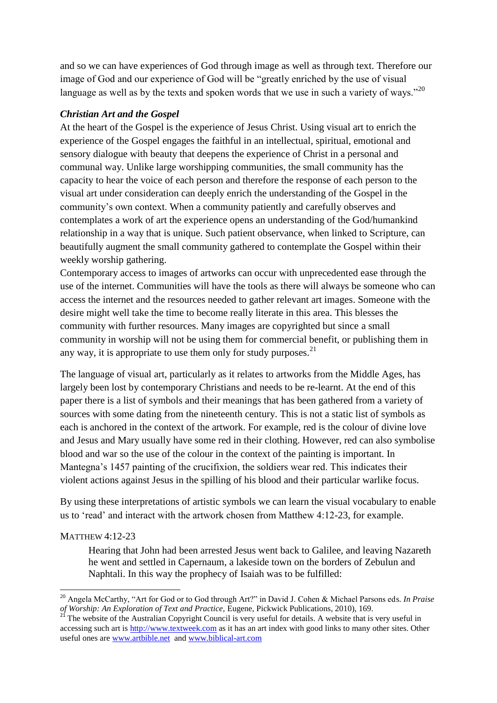and so we can have experiences of God through image as well as through text. Therefore our image of God and our experience of God will be "greatly enriched by the use of visual language as well as by the texts and spoken words that we use in such a variety of ways."<sup>20</sup>

## *Christian Art and the Gospel*

At the heart of the Gospel is the experience of Jesus Christ. Using visual art to enrich the experience of the Gospel engages the faithful in an intellectual, spiritual, emotional and sensory dialogue with beauty that deepens the experience of Christ in a personal and communal way. Unlike large worshipping communities, the small community has the capacity to hear the voice of each person and therefore the response of each person to the visual art under consideration can deeply enrich the understanding of the Gospel in the community"s own context. When a community patiently and carefully observes and contemplates a work of art the experience opens an understanding of the God/humankind relationship in a way that is unique. Such patient observance, when linked to Scripture, can beautifully augment the small community gathered to contemplate the Gospel within their weekly worship gathering.

Contemporary access to images of artworks can occur with unprecedented ease through the use of the internet. Communities will have the tools as there will always be someone who can access the internet and the resources needed to gather relevant art images. Someone with the desire might well take the time to become really literate in this area. This blesses the community with further resources. Many images are copyrighted but since a small community in worship will not be using them for commercial benefit, or publishing them in any way, it is appropriate to use them only for study purposes.  $2<sup>1</sup>$ 

The language of visual art, particularly as it relates to artworks from the Middle Ages, has largely been lost by contemporary Christians and needs to be re-learnt. At the end of this paper there is a list of symbols and their meanings that has been gathered from a variety of sources with some dating from the nineteenth century. This is not a static list of symbols as each is anchored in the context of the artwork. For example, red is the colour of divine love and Jesus and Mary usually have some red in their clothing. However, red can also symbolise blood and war so the use of the colour in the context of the painting is important. In Mantegna's 1457 painting of the crucifixion, the soldiers wear red. This indicates their violent actions against Jesus in the spilling of his blood and their particular warlike focus.

By using these interpretations of artistic symbols we can learn the visual vocabulary to enable us to "read" and interact with the artwork chosen from Matthew 4:12-23, for example.

#### MATTHEW 4:12-23

Hearing that John had been arrested Jesus went back to Galilee, and leaving Nazareth he went and settled in Capernaum, a lakeside town on the borders of Zebulun and Naphtali. In this way the prophecy of Isaiah was to be fulfilled:

<sup>1</sup> <sup>20</sup> Angela McCarthy, "Art for God or to God through Art?" in David J. Cohen & Michael Parsons eds. *In Praise of Worship: An Exploration of Text and Practice,* Eugene, Pickwick Publications, 2010), 169.

<sup>&</sup>lt;sup>21</sup> The website of the Australian Copyright Council is very useful for details. A website that is very useful in accessing such art is [http://www.textweek.com](http://www.textweek.com/) as it has an art index with good links to many other sites. Other useful ones are [www.artbible.net](http://www.artbible.net/) and [www.biblical-art.com](http://www.biblical-art.com/)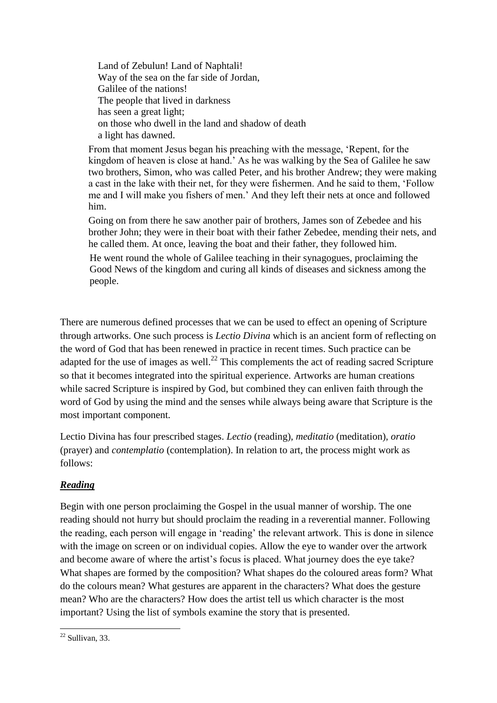Land of Zebulun! Land of Naphtali! Way of the sea on the far side of Jordan, Galilee of the nations! The people that lived in darkness has seen a great light; on those who dwell in the land and shadow of death a light has dawned.

From that moment Jesus began his preaching with the message, "Repent, for the kingdom of heaven is close at hand." As he was walking by the Sea of Galilee he saw two brothers, Simon, who was called Peter, and his brother Andrew; they were making a cast in the lake with their net, for they were fishermen. And he said to them, "Follow me and I will make you fishers of men." And they left their nets at once and followed him.

Going on from there he saw another pair of brothers, James son of Zebedee and his brother John; they were in their boat with their father Zebedee, mending their nets, and he called them. At once, leaving the boat and their father, they followed him.

He went round the whole of Galilee teaching in their synagogues, proclaiming the Good News of the kingdom and curing all kinds of diseases and sickness among the people.

There are numerous defined processes that we can be used to effect an opening of Scripture through artworks. One such process is *Lectio Divina* which is an ancient form of reflecting on the word of God that has been renewed in practice in recent times. Such practice can be adapted for the use of images as well.<sup>22</sup> This complements the act of reading sacred Scripture so that it becomes integrated into the spiritual experience. Artworks are human creations while sacred Scripture is inspired by God, but combined they can enliven faith through the word of God by using the mind and the senses while always being aware that Scripture is the most important component.

Lectio Divina has four prescribed stages. *Lectio* (reading), *meditatio* (meditation), *oratio*  (prayer) and *contemplatio* (contemplation). In relation to art, the process might work as follows:

# *Reading*

Begin with one person proclaiming the Gospel in the usual manner of worship. The one reading should not hurry but should proclaim the reading in a reverential manner. Following the reading, each person will engage in "reading" the relevant artwork. This is done in silence with the image on screen or on individual copies. Allow the eye to wander over the artwork and become aware of where the artist's focus is placed. What journey does the eye take? What shapes are formed by the composition? What shapes do the coloured areas form? What do the colours mean? What gestures are apparent in the characters? What does the gesture mean? Who are the characters? How does the artist tell us which character is the most important? Using the list of symbols examine the story that is presented.

**<sup>.</sup>**  $22$  Sullivan, 33.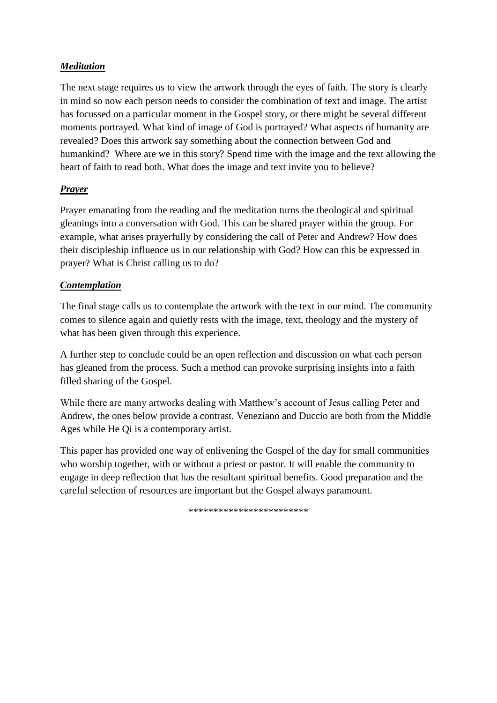## *Meditation*

The next stage requires us to view the artwork through the eyes of faith. The story is clearly in mind so now each person needs to consider the combination of text and image. The artist has focussed on a particular moment in the Gospel story, or there might be several different moments portrayed. What kind of image of God is portrayed? What aspects of humanity are revealed? Does this artwork say something about the connection between God and humankind? Where are we in this story? Spend time with the image and the text allowing the heart of faith to read both. What does the image and text invite you to believe?

# *Prayer*

Prayer emanating from the reading and the meditation turns the theological and spiritual gleanings into a conversation with God. This can be shared prayer within the group. For example, what arises prayerfully by considering the call of Peter and Andrew? How does their discipleship influence us in our relationship with God? How can this be expressed in prayer? What is Christ calling us to do?

#### *Contemplation*

The final stage calls us to contemplate the artwork with the text in our mind. The community comes to silence again and quietly rests with the image, text, theology and the mystery of what has been given through this experience.

A further step to conclude could be an open reflection and discussion on what each person has gleaned from the process. Such a method can provoke surprising insights into a faith filled sharing of the Gospel.

While there are many artworks dealing with Matthew"s account of Jesus calling Peter and Andrew, the ones below provide a contrast. Veneziano and Duccio are both from the Middle Ages while He Qi is a contemporary artist.

This paper has provided one way of enlivening the Gospel of the day for small communities who worship together, with or without a priest or pastor. It will enable the community to engage in deep reflection that has the resultant spiritual benefits. Good preparation and the careful selection of resources are important but the Gospel always paramount.

\*\*\*\*\*\*\*\*\*\*\*\*\*\*\*\*\*\*\*\*\*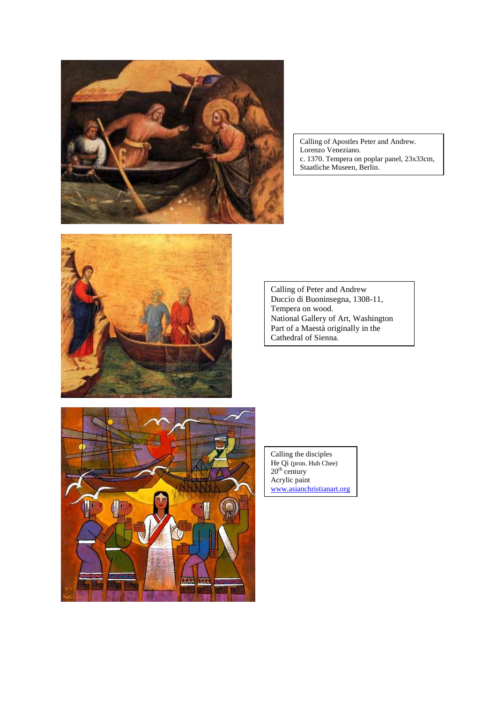

Calling of Apostles Peter and Andrew. Lorenzo Veneziano. c. 1370. Tempera on poplar panel, 23x33cm, Staatliche Museen, Berlin.



Calling of Peter and Andrew Duccio di Buoninsegna, 1308-11, Tempera on wood. National Gallery of Art, Washington Part of a Maestà originally in the Cathedral of Sienna.



Calling the disciples He Qi (pron. Huh Chee)  $20<sup>th</sup>$  century Acrylic paint [www.asianchristianart.org](http://www.asianchristianart.org/)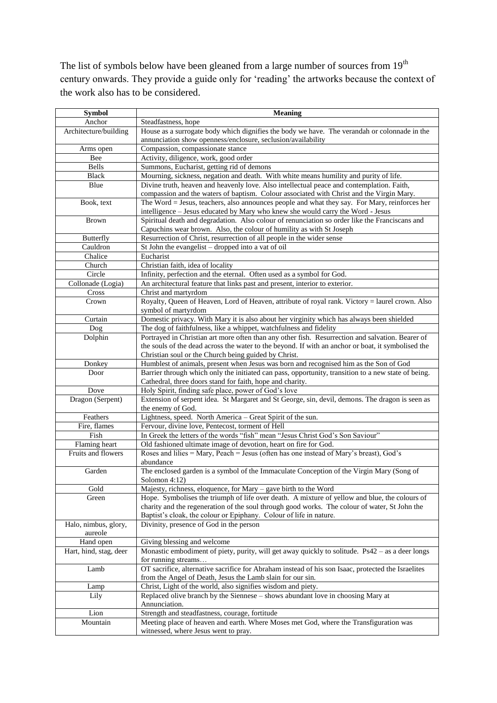The list of symbols below have been gleaned from a large number of sources from 19<sup>th</sup> century onwards. They provide a guide only for "reading" the artworks because the context of the work also has to be considered.

| Symbol                              | <b>Meaning</b>                                                                                                                                                                                                                                                       |
|-------------------------------------|----------------------------------------------------------------------------------------------------------------------------------------------------------------------------------------------------------------------------------------------------------------------|
| Anchor                              | Steadfastness, hope                                                                                                                                                                                                                                                  |
| Architecture/building               | House as a surrogate body which dignifies the body we have. The verandah or colonnade in the                                                                                                                                                                         |
|                                     | annunciation show openness/enclosure, seclusion/availability                                                                                                                                                                                                         |
| Arms open                           | Compassion, compassionate stance                                                                                                                                                                                                                                     |
| Bee                                 | Activity, diligence, work, good order                                                                                                                                                                                                                                |
| <b>Bells</b>                        | Summons, Eucharist, getting rid of demons                                                                                                                                                                                                                            |
| <b>Black</b>                        | Mourning, sickness, negation and death. With white means humility and purity of life.                                                                                                                                                                                |
| Blue                                | Divine truth, heaven and heavenly love. Also intellectual peace and contemplation. Faith,<br>compassion and the waters of baptism. Colour associated with Christ and the Virgin Mary.                                                                                |
| Book, text                          | The Word = Jesus, teachers, also announces people and what they say. For Mary, reinforces her<br>intelligence - Jesus educated by Mary who knew she would carry the Word - Jesus                                                                                     |
| <b>Brown</b>                        | Spiritual death and degradation. Also colour of renunciation so order like the Franciscans and<br>Capuchins wear brown. Also, the colour of humility as with St Joseph                                                                                               |
| <b>Butterfly</b>                    | Resurrection of Christ, resurrection of all people in the wider sense                                                                                                                                                                                                |
| Cauldron                            | St John the evangelist - dropped into a vat of oil                                                                                                                                                                                                                   |
| Chalice                             | Eucharist                                                                                                                                                                                                                                                            |
| Church                              | Christian faith, idea of locality                                                                                                                                                                                                                                    |
| Circle                              | Infinity, perfection and the eternal. Often used as a symbol for God.                                                                                                                                                                                                |
| Collonade (Logia)                   | An architectural feature that links past and present, interior to exterior.                                                                                                                                                                                          |
| Cross                               | Christ and martyrdom                                                                                                                                                                                                                                                 |
| Crown                               | Royalty, Queen of Heaven, Lord of Heaven, attribute of royal rank. Victory = laurel crown. Also<br>symbol of martyrdom                                                                                                                                               |
| Curtain                             | Domestic privacy. With Mary it is also about her virginity which has always been shielded                                                                                                                                                                            |
| Dog                                 | The dog of faithfulness, like a whippet, watchfulness and fidelity                                                                                                                                                                                                   |
| Dolphin                             | Portrayed in Christian art more often than any other fish. Resurrection and salvation. Bearer of                                                                                                                                                                     |
|                                     | the souls of the dead across the water to the beyond. If with an anchor or boat, it symbolised the<br>Christian soul or the Church being guided by Christ.                                                                                                           |
| Donkey                              | Humblest of animals, present when Jesus was born and recognised him as the Son of God                                                                                                                                                                                |
| Door                                | Barrier through which only the initiated can pass, opportunity, transition to a new state of being.<br>Cathedral, three doors stand for faith, hope and charity.                                                                                                     |
| Dove                                | Holy Spirit, finding safe place, power of God's love                                                                                                                                                                                                                 |
| Dragon (Serpent)                    | Extension of serpent idea. St Margaret and St George, sin, devil, demons. The dragon is seen as                                                                                                                                                                      |
| Feathers                            | the enemy of God.                                                                                                                                                                                                                                                    |
|                                     | Lightness, speed. North America - Great Spirit of the sun.                                                                                                                                                                                                           |
| Fire, flames<br>Fish                | Fervour, divine love, Pentecost, torment of Hell<br>In Greek the letters of the words "fish" mean "Jesus Christ God's Son Saviour"                                                                                                                                   |
|                                     |                                                                                                                                                                                                                                                                      |
| Flaming heart<br>Fruits and flowers | Old fashioned ultimate image of devotion, heart on fire for God.<br>Roses and lilies = Mary, Peach = Jesus (often has one instead of Mary's breast), God's                                                                                                           |
|                                     | abundance                                                                                                                                                                                                                                                            |
| Garden                              | The enclosed garden is a symbol of the Immaculate Conception of the Virgin Mary (Song of<br>Solomon 4:12)                                                                                                                                                            |
| Gold                                | Majesty, richness, eloquence, for Mary - gave birth to the Word                                                                                                                                                                                                      |
| Green                               | Hope. Symbolises the triumph of life over death. A mixture of yellow and blue, the colours of<br>charity and the regeneration of the soul through good works. The colour of water, St John the<br>Baptist's cloak, the colour or Epiphany. Colour of life in nature. |
| Halo, nimbus, glory,<br>aureole     | Divinity, presence of God in the person                                                                                                                                                                                                                              |
| Hand open                           | Giving blessing and welcome                                                                                                                                                                                                                                          |
| Hart, hind, stag, deer              | Monastic embodiment of piety, purity, will get away quickly to solitude. Ps42 - as a deer longs                                                                                                                                                                      |
|                                     | for running streams                                                                                                                                                                                                                                                  |
| Lamb                                | OT sacrifice, alternative sacrifice for Abraham instead of his son Isaac, protected the Israelites<br>from the Angel of Death, Jesus the Lamb slain for our sin.                                                                                                     |
| Lamp                                | Christ, Light of the world, also signifies wisdom and piety.                                                                                                                                                                                                         |
| Lily                                | Replaced olive branch by the Siennese - shows abundant love in choosing Mary at<br>Annunciation.                                                                                                                                                                     |
| Lion                                | Strength and steadfastness, courage, fortitude                                                                                                                                                                                                                       |
| Mountain                            | Meeting place of heaven and earth. Where Moses met God, where the Transfiguration was                                                                                                                                                                                |
|                                     | witnessed, where Jesus went to pray.                                                                                                                                                                                                                                 |